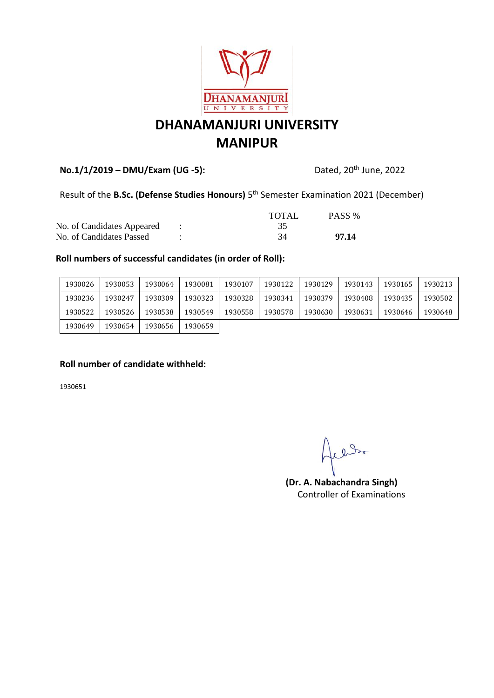

## **DHANAMANJURI UNIVERSITY MANIPUR**

### **No.1/1/2019 – DMU/Exam (UG -5):** Dated, 20th June, 2022

#### Result of the **B.Sc. (Defense Studies Honours)** 5<sup>th</sup> Semester Examination 2021 (December)

|                            | TOTAL | PASS % |
|----------------------------|-------|--------|
| No. of Candidates Appeared |       |        |
| No. of Candidates Passed   | 34    | 97.14  |

#### **Roll numbers of successful candidates (in order of Roll):**

| 1930026 | 1930053 | 1930064 | 1930081 | 1930107 | 1930122 | 1930129 | 1930143 | 1930165 | 1930213 |
|---------|---------|---------|---------|---------|---------|---------|---------|---------|---------|
| 1930236 | 1930247 | 1930309 | 1930323 | 1930328 | 1930341 | 1930379 | 1930408 | 1930435 | 1930502 |
| 1930522 | 1930526 | 1930538 | 1930549 | 1930558 | 1930578 | 1930630 | 1930631 | 1930646 | 1930648 |
| 1930649 | 1930654 | 1930656 | 1930659 |         |         |         |         |         |         |

#### **Roll number of candidate withheld:**

1930651

cledy

**(Dr. A. Nabachandra Singh)** Controller of Examinations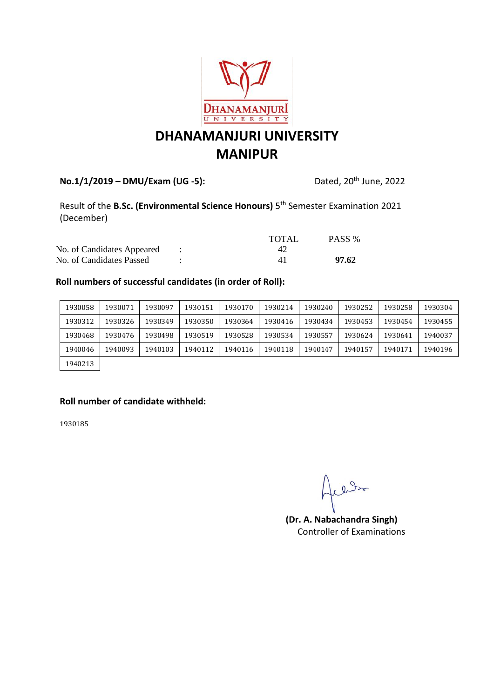

# **DHANAMANJURI UNIVERSITY MANIPUR**

### **No.1/1/2019 – DMU/Exam (UG -5):** Dated, 20th June, 2022

Result of the **B.Sc. (Environmental Science Honours)** 5<sup>th</sup> Semester Examination 2021 (December)

|                            | TOTAL | PASS % |
|----------------------------|-------|--------|
| No. of Candidates Appeared |       |        |
| No. of Candidates Passed   |       | 97.62  |

#### **Roll numbers of successful candidates (in order of Roll):**

| 1930058 | 1930071 | 1930097 | 1930151 | 1930170 | 1930214 | 1930240 | 1930252 | 1930258 | 1930304 |
|---------|---------|---------|---------|---------|---------|---------|---------|---------|---------|
| 1930312 | 1930326 | 1930349 | 1930350 | 1930364 | 1930416 | 1930434 | 1930453 | 1930454 | 1930455 |
| 1930468 | 1930476 | 1930498 | 1930519 | 1930528 | 1930534 | 1930557 | 1930624 | 1930641 | 1940037 |
| 1940046 | 1940093 | 1940103 | 1940112 | 1940116 | 1940118 | 1940147 | 1940157 | 1940171 | 1940196 |
| 1940213 |         |         |         |         |         |         |         |         |         |

#### **Roll number of candidate withheld:**

1930185

aller

**(Dr. A. Nabachandra Singh)** Controller of Examinations